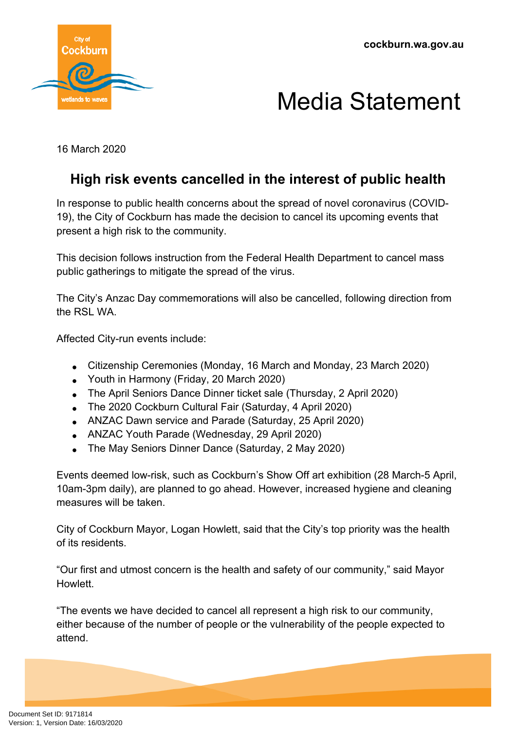



16 March 2020

## **High risk events cancelled in the interest of public health**

In response to public health concerns about the spread of novel coronavirus (COVID-19), the City of Cockburn has made the decision to cancel its upcoming events that present a high risk to the community.

This decision follows instruction from the Federal Health Department to cancel mass public gatherings to mitigate the spread of the virus.

The City's Anzac Day commemorations will also be cancelled, following direction from the RSL WA

Affected City-run events include:

- Citizenship Ceremonies (Monday, 16 March and Monday, 23 March 2020)
- Youth in Harmony (Friday, 20 March 2020)
- The April Seniors Dance Dinner ticket sale (Thursday, 2 April 2020)
- The 2020 Cockburn Cultural Fair (Saturday, 4 April 2020)
- ANZAC Dawn service and Parade (Saturday, 25 April 2020)
- ANZAC Youth Parade (Wednesday, 29 April 2020)
- The May Seniors Dinner Dance (Saturday, 2 May 2020)

Events deemed low-risk, such as Cockburn's Show Off art exhibition (28 March-5 April, 10am-3pm daily), are planned to go ahead. However, increased hygiene and cleaning measures will be taken.

City of Cockburn Mayor, Logan Howlett, said that the City's top priority was the health of its residents.

"Our first and utmost concern is the health and safety of our community," said Mayor **Howlett** 

"The events we have decided to cancel all represent a high risk to our community, either because of the number of people or the vulnerability of the people expected to attend.